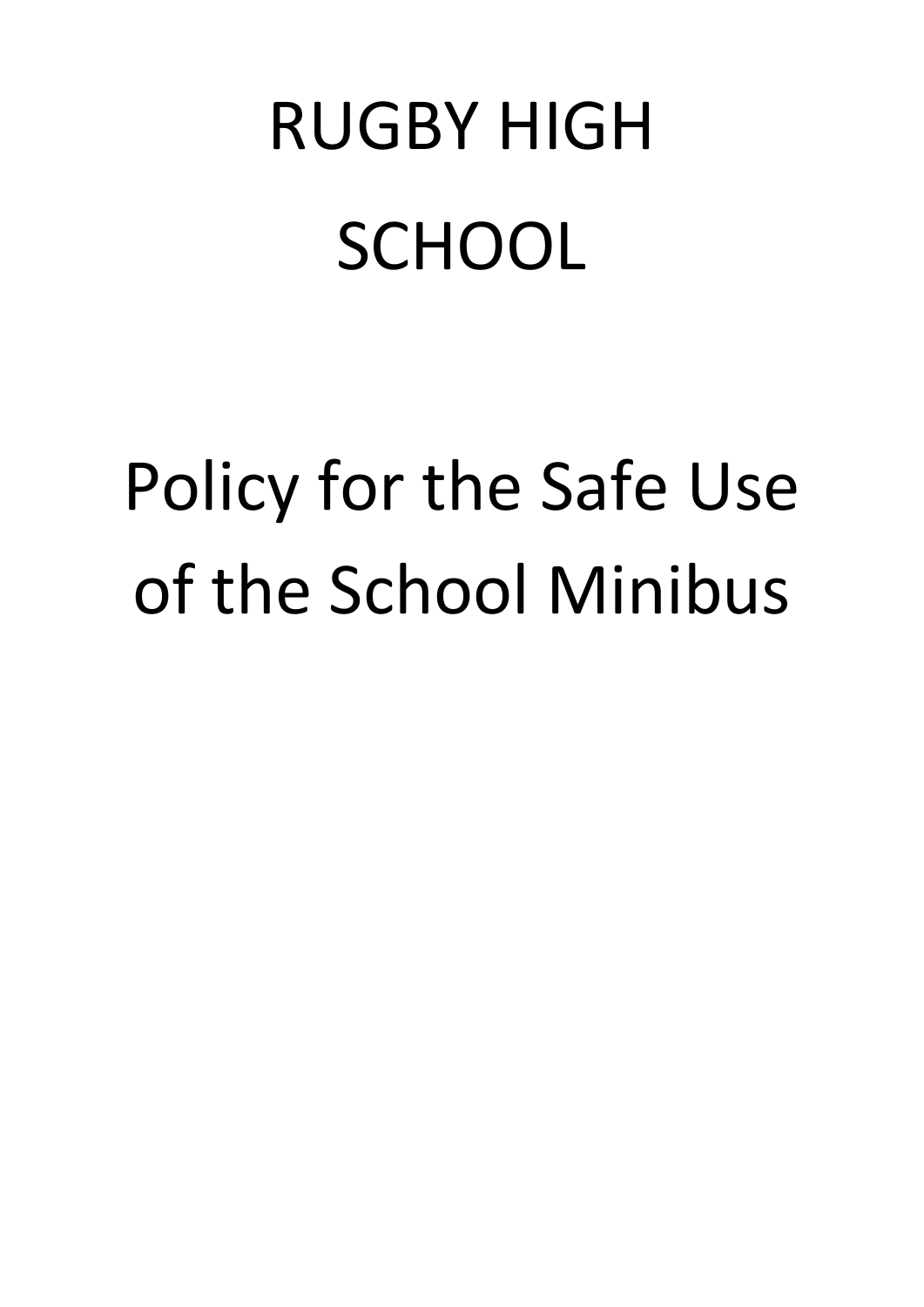# RUGBY HIGH **SCHOOL**

# Policy for the Safe Use of the School Minibus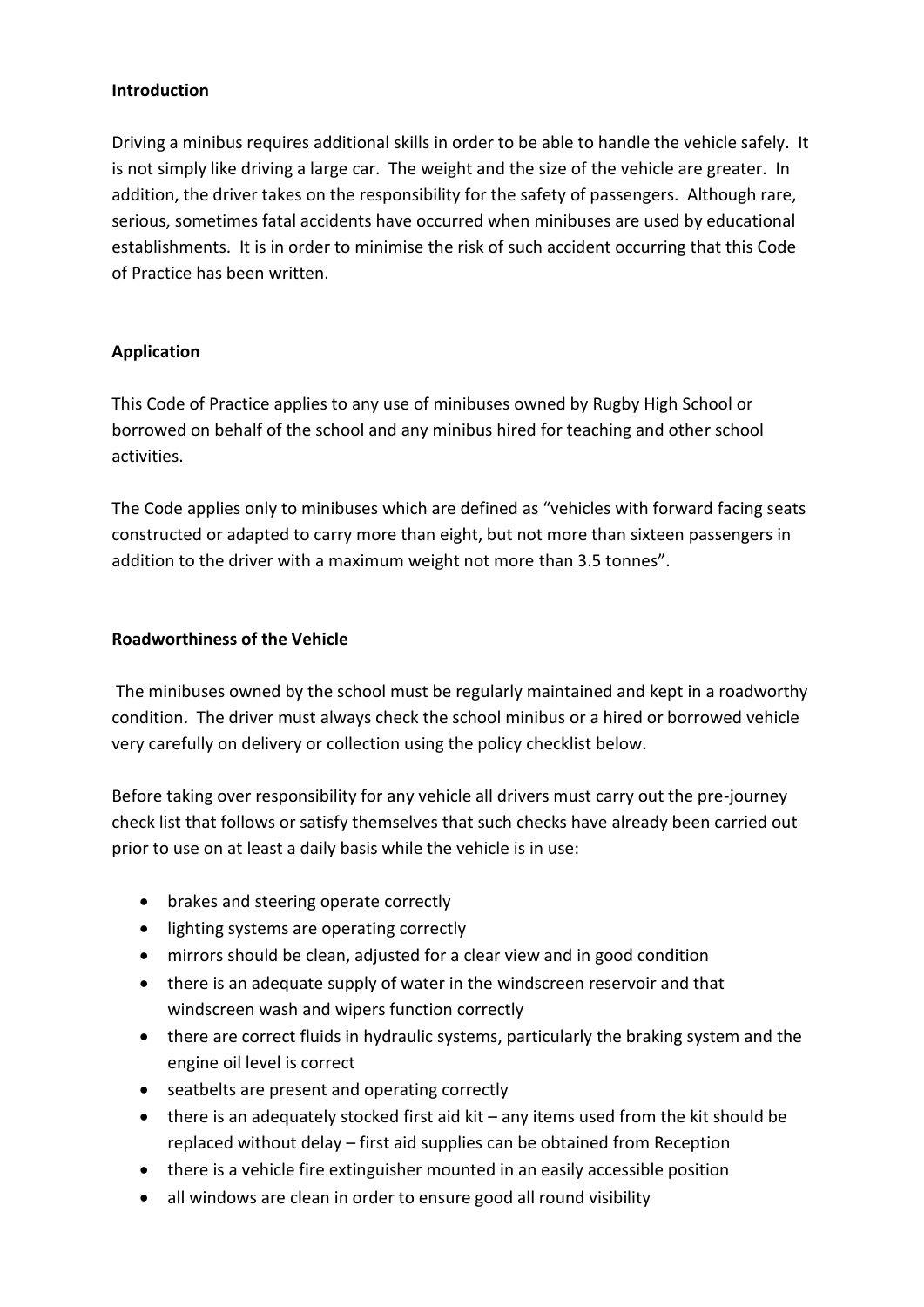#### **Introduction**

Driving a minibus requires additional skills in order to be able to handle the vehicle safely. It is not simply like driving a large car. The weight and the size of the vehicle are greater. In addition, the driver takes on the responsibility for the safety of passengers. Although rare, serious, sometimes fatal accidents have occurred when minibuses are used by educational establishments. It is in order to minimise the risk of such accident occurring that this Code of Practice has been written.

# **Application**

This Code of Practice applies to any use of minibuses owned by Rugby High School or borrowed on behalf of the school and any minibus hired for teaching and other school activities.

The Code applies only to minibuses which are defined as "vehicles with forward facing seats constructed or adapted to carry more than eight, but not more than sixteen passengers in addition to the driver with a maximum weight not more than 3.5 tonnes".

#### **Roadworthiness of the Vehicle**

The minibuses owned by the school must be regularly maintained and kept in a roadworthy condition. The driver must always check the school minibus or a hired or borrowed vehicle very carefully on delivery or collection using the policy checklist below.

Before taking over responsibility for any vehicle all drivers must carry out the pre-journey check list that follows or satisfy themselves that such checks have already been carried out prior to use on at least a daily basis while the vehicle is in use:

- brakes and steering operate correctly
- lighting systems are operating correctly
- mirrors should be clean, adjusted for a clear view and in good condition
- there is an adequate supply of water in the windscreen reservoir and that windscreen wash and wipers function correctly
- there are correct fluids in hydraulic systems, particularly the braking system and the engine oil level is correct
- seatbelts are present and operating correctly
- there is an adequately stocked first aid kit any items used from the kit should be replaced without delay – first aid supplies can be obtained from Reception
- there is a vehicle fire extinguisher mounted in an easily accessible position
- all windows are clean in order to ensure good all round visibility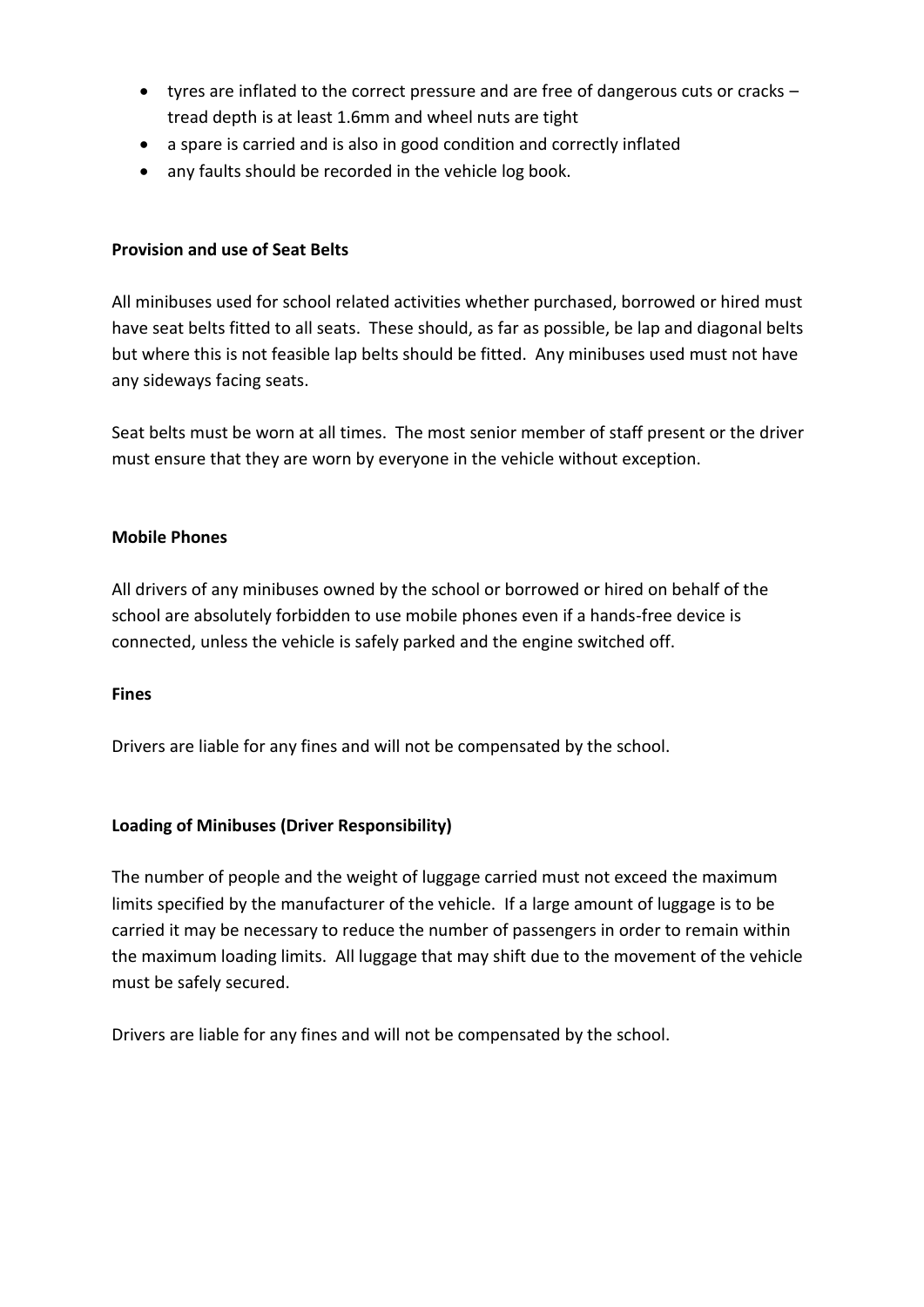- tyres are inflated to the correct pressure and are free of dangerous cuts or cracks tread depth is at least 1.6mm and wheel nuts are tight
- a spare is carried and is also in good condition and correctly inflated
- any faults should be recorded in the vehicle log book.

# **Provision and use of Seat Belts**

All minibuses used for school related activities whether purchased, borrowed or hired must have seat belts fitted to all seats. These should, as far as possible, be lap and diagonal belts but where this is not feasible lap belts should be fitted. Any minibuses used must not have any sideways facing seats.

Seat belts must be worn at all times. The most senior member of staff present or the driver must ensure that they are worn by everyone in the vehicle without exception.

# **Mobile Phones**

All drivers of any minibuses owned by the school or borrowed or hired on behalf of the school are absolutely forbidden to use mobile phones even if a hands-free device is connected, unless the vehicle is safely parked and the engine switched off.

# **Fines**

Drivers are liable for any fines and will not be compensated by the school.

# **Loading of Minibuses (Driver Responsibility)**

The number of people and the weight of luggage carried must not exceed the maximum limits specified by the manufacturer of the vehicle. If a large amount of luggage is to be carried it may be necessary to reduce the number of passengers in order to remain within the maximum loading limits. All luggage that may shift due to the movement of the vehicle must be safely secured.

Drivers are liable for any fines and will not be compensated by the school.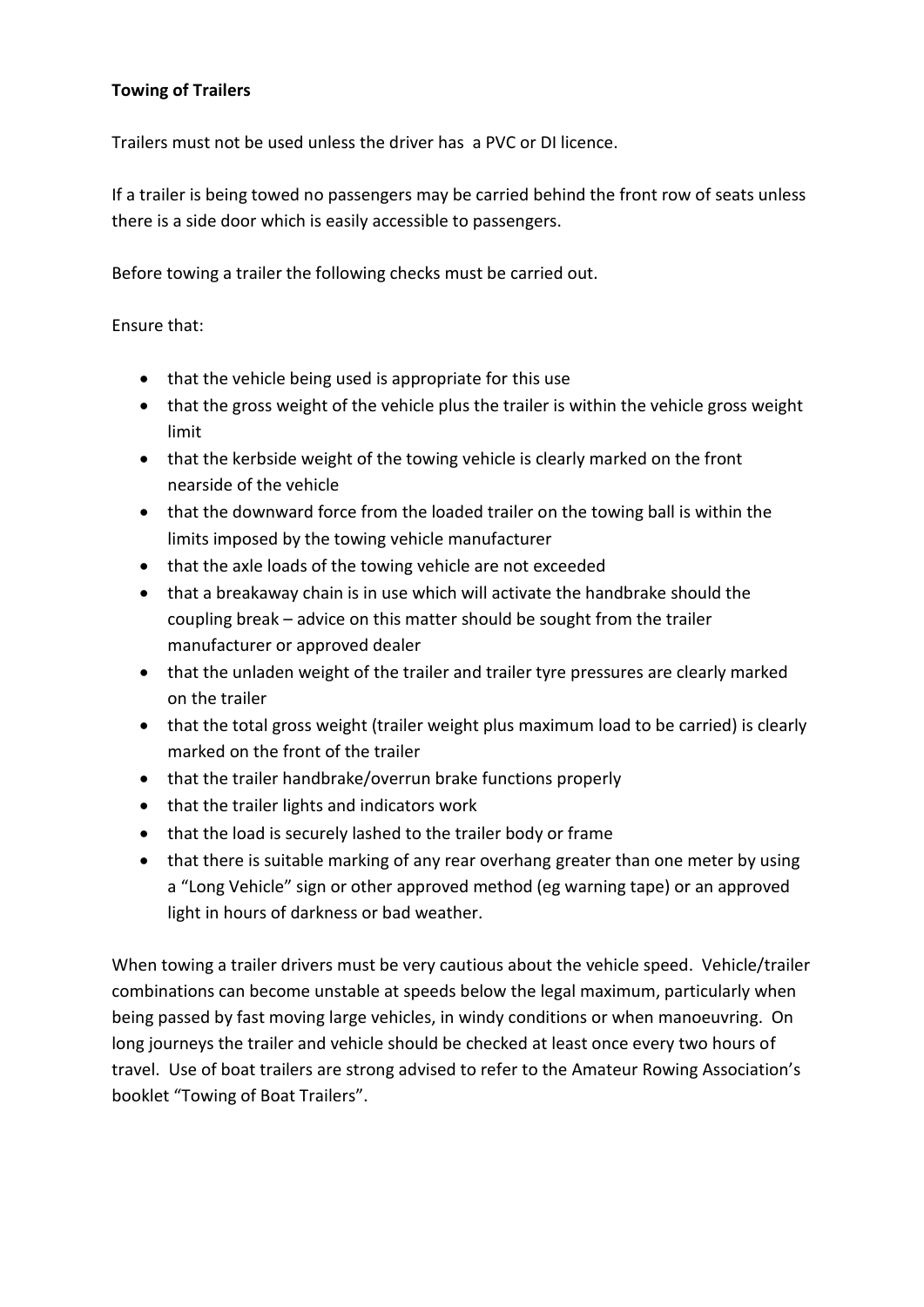# **Towing of Trailers**

Trailers must not be used unless the driver has a PVC or DI licence.

If a trailer is being towed no passengers may be carried behind the front row of seats unless there is a side door which is easily accessible to passengers.

Before towing a trailer the following checks must be carried out.

Ensure that:

- that the vehicle being used is appropriate for this use
- that the gross weight of the vehicle plus the trailer is within the vehicle gross weight limit
- that the kerbside weight of the towing vehicle is clearly marked on the front nearside of the vehicle
- that the downward force from the loaded trailer on the towing ball is within the limits imposed by the towing vehicle manufacturer
- that the axle loads of the towing vehicle are not exceeded
- that a breakaway chain is in use which will activate the handbrake should the coupling break – advice on this matter should be sought from the trailer manufacturer or approved dealer
- that the unladen weight of the trailer and trailer tyre pressures are clearly marked on the trailer
- that the total gross weight (trailer weight plus maximum load to be carried) is clearly marked on the front of the trailer
- that the trailer handbrake/overrun brake functions properly
- that the trailer lights and indicators work
- that the load is securely lashed to the trailer body or frame
- that there is suitable marking of any rear overhang greater than one meter by using a "Long Vehicle" sign or other approved method (eg warning tape) or an approved light in hours of darkness or bad weather.

When towing a trailer drivers must be very cautious about the vehicle speed. Vehicle/trailer combinations can become unstable at speeds below the legal maximum, particularly when being passed by fast moving large vehicles, in windy conditions or when manoeuvring. On long journeys the trailer and vehicle should be checked at least once every two hours of travel. Use of boat trailers are strong advised to refer to the Amateur Rowing Association's booklet "Towing of Boat Trailers".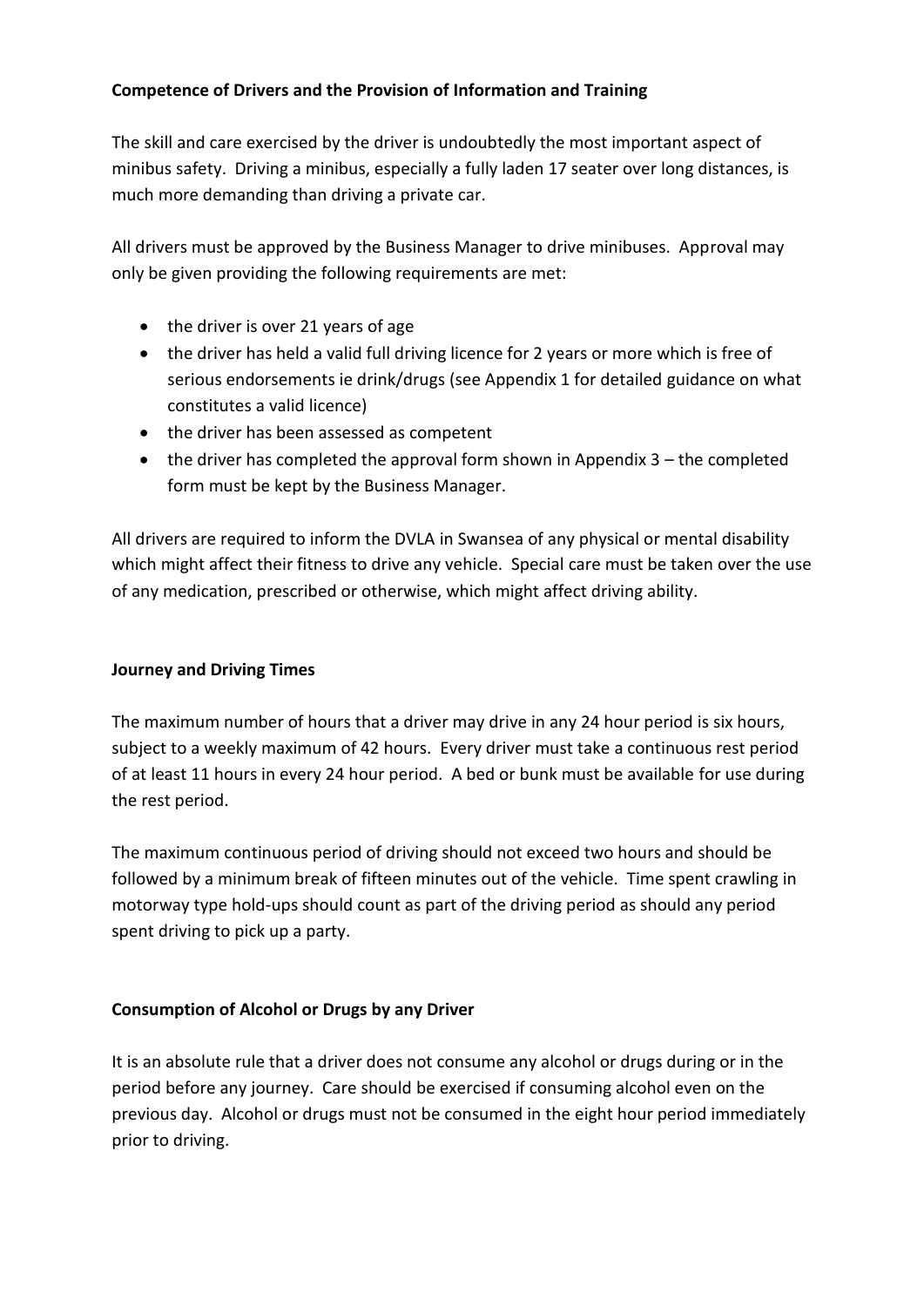# **Competence of Drivers and the Provision of Information and Training**

The skill and care exercised by the driver is undoubtedly the most important aspect of minibus safety. Driving a minibus, especially a fully laden 17 seater over long distances, is much more demanding than driving a private car.

All drivers must be approved by the Business Manager to drive minibuses. Approval may only be given providing the following requirements are met:

- $\bullet$  the driver is over 21 years of age
- the driver has held a valid full driving licence for 2 years or more which is free of serious endorsements ie drink/drugs (see Appendix 1 for detailed guidance on what constitutes a valid licence)
- the driver has been assessed as competent
- $\bullet$  the driver has completed the approval form shown in Appendix 3 the completed form must be kept by the Business Manager.

All drivers are required to inform the DVLA in Swansea of any physical or mental disability which might affect their fitness to drive any vehicle. Special care must be taken over the use of any medication, prescribed or otherwise, which might affect driving ability.

# **Journey and Driving Times**

The maximum number of hours that a driver may drive in any 24 hour period is six hours, subject to a weekly maximum of 42 hours. Every driver must take a continuous rest period of at least 11 hours in every 24 hour period. A bed or bunk must be available for use during the rest period.

The maximum continuous period of driving should not exceed two hours and should be followed by a minimum break of fifteen minutes out of the vehicle. Time spent crawling in motorway type hold-ups should count as part of the driving period as should any period spent driving to pick up a party.

# **Consumption of Alcohol or Drugs by any Driver**

It is an absolute rule that a driver does not consume any alcohol or drugs during or in the period before any journey. Care should be exercised if consuming alcohol even on the previous day. Alcohol or drugs must not be consumed in the eight hour period immediately prior to driving.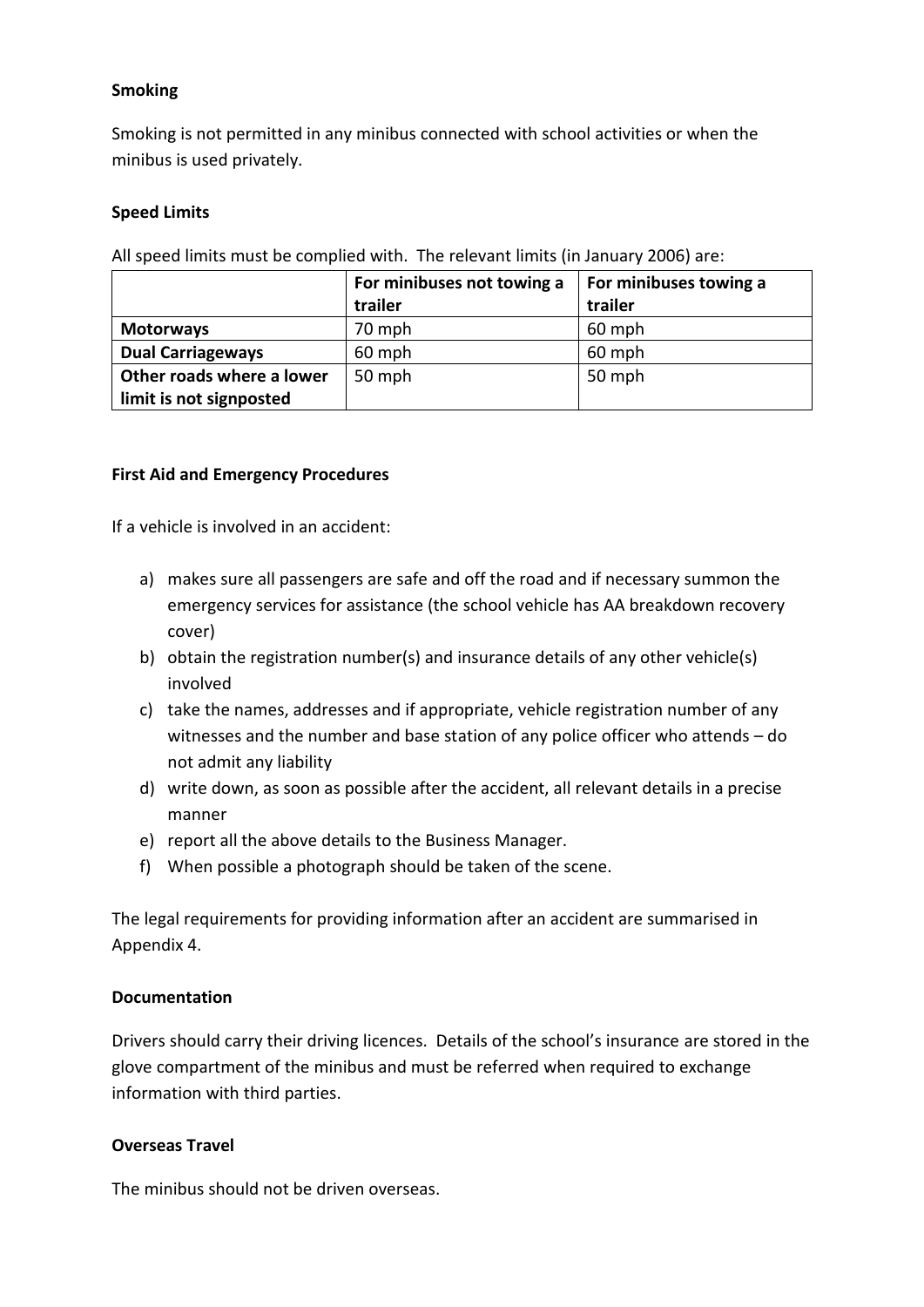#### **Smoking**

Smoking is not permitted in any minibus connected with school activities or when the minibus is used privately.

#### **Speed Limits**

All speed limits must be complied with. The relevant limits (in January 2006) are:

|                           | For minibuses not towing a | For minibuses towing a |
|---------------------------|----------------------------|------------------------|
|                           | trailer                    | trailer                |
| <b>Motorways</b>          | 70 mph                     | 60 mph                 |
| <b>Dual Carriageways</b>  | 60 mph                     | 60 mph                 |
| Other roads where a lower | 50 mph                     | 50 mph                 |
| limit is not signposted   |                            |                        |

#### **First Aid and Emergency Procedures**

If a vehicle is involved in an accident:

- a) makes sure all passengers are safe and off the road and if necessary summon the emergency services for assistance (the school vehicle has AA breakdown recovery cover)
- b) obtain the registration number(s) and insurance details of any other vehicle(s) involved
- c) take the names, addresses and if appropriate, vehicle registration number of any witnesses and the number and base station of any police officer who attends – do not admit any liability
- d) write down, as soon as possible after the accident, all relevant details in a precise manner
- e) report all the above details to the Business Manager.
- f) When possible a photograph should be taken of the scene.

The legal requirements for providing information after an accident are summarised in Appendix 4.

#### **Documentation**

Drivers should carry their driving licences. Details of the school's insurance are stored in the glove compartment of the minibus and must be referred when required to exchange information with third parties.

#### **Overseas Travel**

The minibus should not be driven overseas.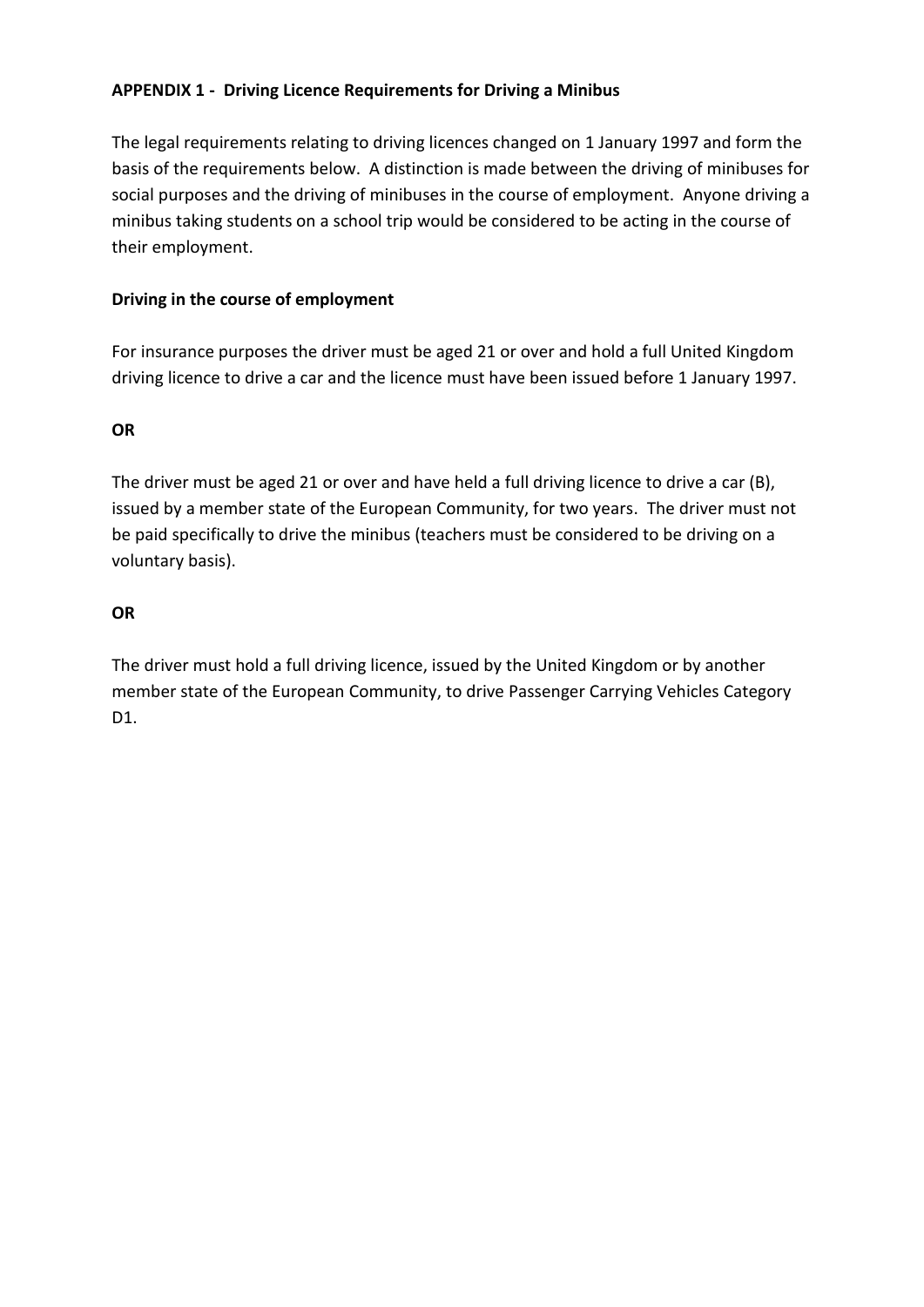# **APPENDIX 1 - Driving Licence Requirements for Driving a Minibus**

The legal requirements relating to driving licences changed on 1 January 1997 and form the basis of the requirements below. A distinction is made between the driving of minibuses for social purposes and the driving of minibuses in the course of employment. Anyone driving a minibus taking students on a school trip would be considered to be acting in the course of their employment.

# **Driving in the course of employment**

For insurance purposes the driver must be aged 21 or over and hold a full United Kingdom driving licence to drive a car and the licence must have been issued before 1 January 1997.

# **OR**

The driver must be aged 21 or over and have held a full driving licence to drive a car (B), issued by a member state of the European Community, for two years. The driver must not be paid specifically to drive the minibus (teachers must be considered to be driving on a voluntary basis).

# **OR**

The driver must hold a full driving licence, issued by the United Kingdom or by another member state of the European Community, to drive Passenger Carrying Vehicles Category D1.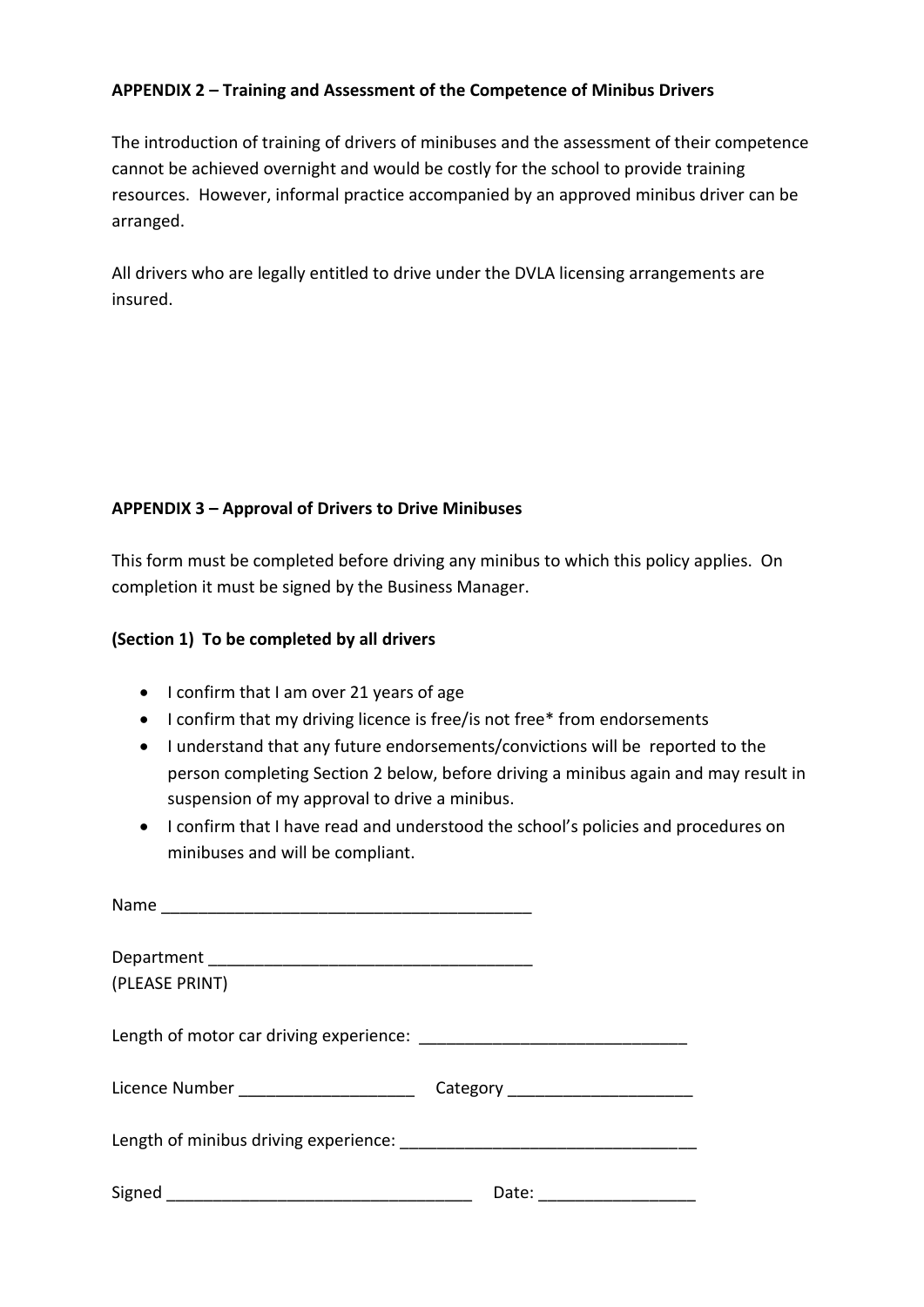### **APPENDIX 2 – Training and Assessment of the Competence of Minibus Drivers**

The introduction of training of drivers of minibuses and the assessment of their competence cannot be achieved overnight and would be costly for the school to provide training resources. However, informal practice accompanied by an approved minibus driver can be arranged.

All drivers who are legally entitled to drive under the DVLA licensing arrangements are insured.

# **APPENDIX 3 – Approval of Drivers to Drive Minibuses**

This form must be completed before driving any minibus to which this policy applies. On completion it must be signed by the Business Manager.

#### **(Section 1) To be completed by all drivers**

- I confirm that I am over 21 years of age
- I confirm that my driving licence is free/is not free\* from endorsements
- I understand that any future endorsements/convictions will be reported to the person completing Section 2 below, before driving a minibus again and may result in suspension of my approval to drive a minibus.
- I confirm that I have read and understood the school's policies and procedures on minibuses and will be compliant.

| (PLEASE PRINT)                        |                      |
|---------------------------------------|----------------------|
|                                       |                      |
| Licence Number ______________________ |                      |
|                                       |                      |
|                                       | Date: ______________ |